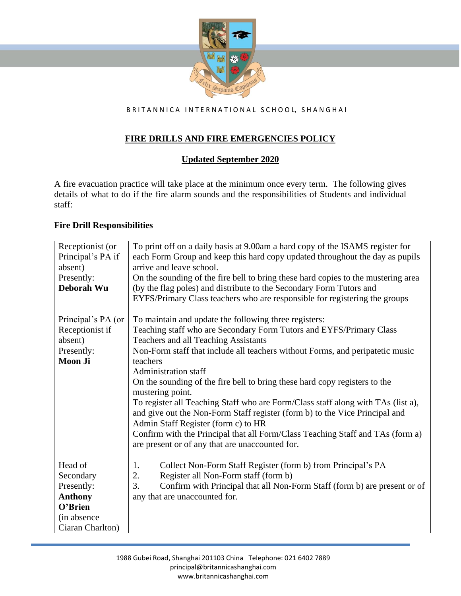

BRITANNICA INTERNATIONAL SCHOOL, SHANGHAI

# **FIRE DRILLS AND FIRE EMERGENCIES POLICY**

# **Updated September 2020**

A fire evacuation practice will take place at the minimum once every term. The following gives details of what to do if the fire alarm sounds and the responsibilities of Students and individual staff:

#### **Fire Drill Responsibilities**

| Receptionist (or   | To print off on a daily basis at 9.00am a hard copy of the ISAMS register for     |
|--------------------|-----------------------------------------------------------------------------------|
| Principal's PA if  | each Form Group and keep this hard copy updated throughout the day as pupils      |
| absent)            | arrive and leave school.                                                          |
| Presently:         | On the sounding of the fire bell to bring these hard copies to the mustering area |
| Deborah Wu         | (by the flag poles) and distribute to the Secondary Form Tutors and               |
|                    | EYFS/Primary Class teachers who are responsible for registering the groups        |
|                    |                                                                                   |
| Principal's PA (or | To maintain and update the following three registers:                             |
| Receptionist if    | Teaching staff who are Secondary Form Tutors and EYFS/Primary Class               |
| absent)            | Teachers and all Teaching Assistants                                              |
| Presently:         | Non-Form staff that include all teachers without Forms, and peripatetic music     |
| <b>Moon Ji</b>     | teachers                                                                          |
|                    | <b>Administration staff</b>                                                       |
|                    | On the sounding of the fire bell to bring these hard copy registers to the        |
|                    | mustering point.                                                                  |
|                    | To register all Teaching Staff who are Form/Class staff along with TAs (list a),  |
|                    | and give out the Non-Form Staff register (form b) to the Vice Principal and       |
|                    | Admin Staff Register (form c) to HR                                               |
|                    | Confirm with the Principal that all Form/Class Teaching Staff and TAs (form a)    |
|                    | are present or of any that are unaccounted for.                                   |
|                    |                                                                                   |
| Head of            | Collect Non-Form Staff Register (form b) from Principal's PA<br>1.                |
| Secondary          | Register all Non-Form staff (form b)<br>2.                                        |
| Presently:         | 3.<br>Confirm with Principal that all Non-Form Staff (form b) are present or of   |
| <b>Anthony</b>     | any that are unaccounted for.                                                     |
| O'Brien            |                                                                                   |
| (in absence        |                                                                                   |
| Ciaran Charlton)   |                                                                                   |
|                    |                                                                                   |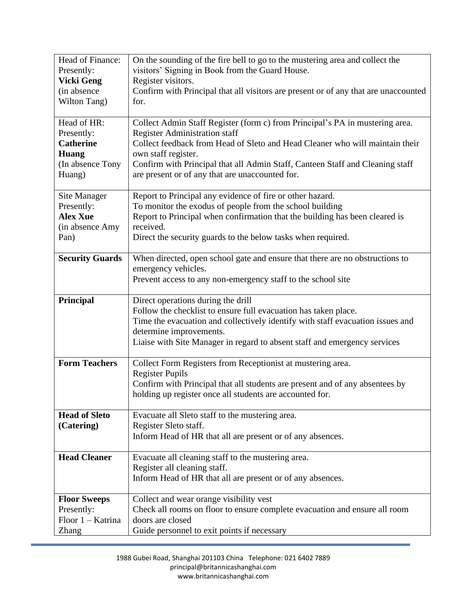| Presently:<br><b>Vicki Geng</b><br>(in absence<br>Wilton Tang)<br>for.<br>Head of HR:<br>Presently:<br><b>Catherine</b><br><b>Huang</b><br>(In absence Tony<br>Huang)<br>Site Manager<br>Presently:<br><b>Alex Xue</b><br>received.<br>(in absence Amy<br>Pan)<br><b>Security Guards</b><br>Principal | visitors' Signing in Book from the Guard House.<br>Register visitors.<br>Confirm with Principal that all visitors are present or of any that are unaccounted<br>Collect Admin Staff Register (form c) from Principal's PA in mustering area.<br>Register Administration staff<br>Collect feedback from Head of Sleto and Head Cleaner who will maintain their<br>own staff register.<br>Confirm with Principal that all Admin Staff, Canteen Staff and Cleaning staff<br>are present or of any that are unaccounted for.<br>Report to Principal any evidence of fire or other hazard.<br>To monitor the exodus of people from the school building<br>Report to Principal when confirmation that the building has been cleared is<br>Direct the security guards to the below tasks when required. |
|-------------------------------------------------------------------------------------------------------------------------------------------------------------------------------------------------------------------------------------------------------------------------------------------------------|--------------------------------------------------------------------------------------------------------------------------------------------------------------------------------------------------------------------------------------------------------------------------------------------------------------------------------------------------------------------------------------------------------------------------------------------------------------------------------------------------------------------------------------------------------------------------------------------------------------------------------------------------------------------------------------------------------------------------------------------------------------------------------------------------|
|                                                                                                                                                                                                                                                                                                       |                                                                                                                                                                                                                                                                                                                                                                                                                                                                                                                                                                                                                                                                                                                                                                                                  |
|                                                                                                                                                                                                                                                                                                       |                                                                                                                                                                                                                                                                                                                                                                                                                                                                                                                                                                                                                                                                                                                                                                                                  |
|                                                                                                                                                                                                                                                                                                       |                                                                                                                                                                                                                                                                                                                                                                                                                                                                                                                                                                                                                                                                                                                                                                                                  |
|                                                                                                                                                                                                                                                                                                       |                                                                                                                                                                                                                                                                                                                                                                                                                                                                                                                                                                                                                                                                                                                                                                                                  |
|                                                                                                                                                                                                                                                                                                       |                                                                                                                                                                                                                                                                                                                                                                                                                                                                                                                                                                                                                                                                                                                                                                                                  |
|                                                                                                                                                                                                                                                                                                       |                                                                                                                                                                                                                                                                                                                                                                                                                                                                                                                                                                                                                                                                                                                                                                                                  |
|                                                                                                                                                                                                                                                                                                       |                                                                                                                                                                                                                                                                                                                                                                                                                                                                                                                                                                                                                                                                                                                                                                                                  |
|                                                                                                                                                                                                                                                                                                       |                                                                                                                                                                                                                                                                                                                                                                                                                                                                                                                                                                                                                                                                                                                                                                                                  |
|                                                                                                                                                                                                                                                                                                       |                                                                                                                                                                                                                                                                                                                                                                                                                                                                                                                                                                                                                                                                                                                                                                                                  |
|                                                                                                                                                                                                                                                                                                       |                                                                                                                                                                                                                                                                                                                                                                                                                                                                                                                                                                                                                                                                                                                                                                                                  |
|                                                                                                                                                                                                                                                                                                       |                                                                                                                                                                                                                                                                                                                                                                                                                                                                                                                                                                                                                                                                                                                                                                                                  |
|                                                                                                                                                                                                                                                                                                       |                                                                                                                                                                                                                                                                                                                                                                                                                                                                                                                                                                                                                                                                                                                                                                                                  |
|                                                                                                                                                                                                                                                                                                       |                                                                                                                                                                                                                                                                                                                                                                                                                                                                                                                                                                                                                                                                                                                                                                                                  |
|                                                                                                                                                                                                                                                                                                       |                                                                                                                                                                                                                                                                                                                                                                                                                                                                                                                                                                                                                                                                                                                                                                                                  |
|                                                                                                                                                                                                                                                                                                       |                                                                                                                                                                                                                                                                                                                                                                                                                                                                                                                                                                                                                                                                                                                                                                                                  |
|                                                                                                                                                                                                                                                                                                       |                                                                                                                                                                                                                                                                                                                                                                                                                                                                                                                                                                                                                                                                                                                                                                                                  |
|                                                                                                                                                                                                                                                                                                       | When directed, open school gate and ensure that there are no obstructions to                                                                                                                                                                                                                                                                                                                                                                                                                                                                                                                                                                                                                                                                                                                     |
|                                                                                                                                                                                                                                                                                                       | emergency vehicles.                                                                                                                                                                                                                                                                                                                                                                                                                                                                                                                                                                                                                                                                                                                                                                              |
|                                                                                                                                                                                                                                                                                                       | Prevent access to any non-emergency staff to the school site                                                                                                                                                                                                                                                                                                                                                                                                                                                                                                                                                                                                                                                                                                                                     |
|                                                                                                                                                                                                                                                                                                       |                                                                                                                                                                                                                                                                                                                                                                                                                                                                                                                                                                                                                                                                                                                                                                                                  |
|                                                                                                                                                                                                                                                                                                       | Direct operations during the drill                                                                                                                                                                                                                                                                                                                                                                                                                                                                                                                                                                                                                                                                                                                                                               |
|                                                                                                                                                                                                                                                                                                       | Follow the checklist to ensure full evacuation has taken place.                                                                                                                                                                                                                                                                                                                                                                                                                                                                                                                                                                                                                                                                                                                                  |
|                                                                                                                                                                                                                                                                                                       | Time the evacuation and collectively identify with staff evacuation issues and                                                                                                                                                                                                                                                                                                                                                                                                                                                                                                                                                                                                                                                                                                                   |
|                                                                                                                                                                                                                                                                                                       | determine improvements.                                                                                                                                                                                                                                                                                                                                                                                                                                                                                                                                                                                                                                                                                                                                                                          |
|                                                                                                                                                                                                                                                                                                       | Liaise with Site Manager in regard to absent staff and emergency services                                                                                                                                                                                                                                                                                                                                                                                                                                                                                                                                                                                                                                                                                                                        |
| <b>Form Teachers</b>                                                                                                                                                                                                                                                                                  | Collect Form Registers from Receptionist at mustering area.                                                                                                                                                                                                                                                                                                                                                                                                                                                                                                                                                                                                                                                                                                                                      |
|                                                                                                                                                                                                                                                                                                       | <b>Register Pupils</b>                                                                                                                                                                                                                                                                                                                                                                                                                                                                                                                                                                                                                                                                                                                                                                           |
|                                                                                                                                                                                                                                                                                                       | Confirm with Principal that all students are present and of any absentees by                                                                                                                                                                                                                                                                                                                                                                                                                                                                                                                                                                                                                                                                                                                     |
|                                                                                                                                                                                                                                                                                                       | holding up register once all students are accounted for.                                                                                                                                                                                                                                                                                                                                                                                                                                                                                                                                                                                                                                                                                                                                         |
|                                                                                                                                                                                                                                                                                                       |                                                                                                                                                                                                                                                                                                                                                                                                                                                                                                                                                                                                                                                                                                                                                                                                  |
| <b>Head of Sleto</b>                                                                                                                                                                                                                                                                                  | Evacuate all Sleto staff to the mustering area.                                                                                                                                                                                                                                                                                                                                                                                                                                                                                                                                                                                                                                                                                                                                                  |
| (Catering)                                                                                                                                                                                                                                                                                            | Register Sleto staff.                                                                                                                                                                                                                                                                                                                                                                                                                                                                                                                                                                                                                                                                                                                                                                            |
|                                                                                                                                                                                                                                                                                                       | Inform Head of HR that all are present or of any absences.                                                                                                                                                                                                                                                                                                                                                                                                                                                                                                                                                                                                                                                                                                                                       |
|                                                                                                                                                                                                                                                                                                       |                                                                                                                                                                                                                                                                                                                                                                                                                                                                                                                                                                                                                                                                                                                                                                                                  |
| <b>Head Cleaner</b>                                                                                                                                                                                                                                                                                   | Evacuate all cleaning staff to the mustering area.                                                                                                                                                                                                                                                                                                                                                                                                                                                                                                                                                                                                                                                                                                                                               |
|                                                                                                                                                                                                                                                                                                       | Register all cleaning staff.                                                                                                                                                                                                                                                                                                                                                                                                                                                                                                                                                                                                                                                                                                                                                                     |
|                                                                                                                                                                                                                                                                                                       |                                                                                                                                                                                                                                                                                                                                                                                                                                                                                                                                                                                                                                                                                                                                                                                                  |
|                                                                                                                                                                                                                                                                                                       | Collect and wear orange visibility vest                                                                                                                                                                                                                                                                                                                                                                                                                                                                                                                                                                                                                                                                                                                                                          |
| Presently:                                                                                                                                                                                                                                                                                            |                                                                                                                                                                                                                                                                                                                                                                                                                                                                                                                                                                                                                                                                                                                                                                                                  |
| Floor 1 - Katrina                                                                                                                                                                                                                                                                                     |                                                                                                                                                                                                                                                                                                                                                                                                                                                                                                                                                                                                                                                                                                                                                                                                  |
| Guide personnel to exit points if necessary<br><b>Zhang</b>                                                                                                                                                                                                                                           | Check all rooms on floor to ensure complete evacuation and ensure all room<br>doors are closed                                                                                                                                                                                                                                                                                                                                                                                                                                                                                                                                                                                                                                                                                                   |
| <b>Floor Sweeps</b>                                                                                                                                                                                                                                                                                   | Inform Head of HR that all are present or of any absences.                                                                                                                                                                                                                                                                                                                                                                                                                                                                                                                                                                                                                                                                                                                                       |